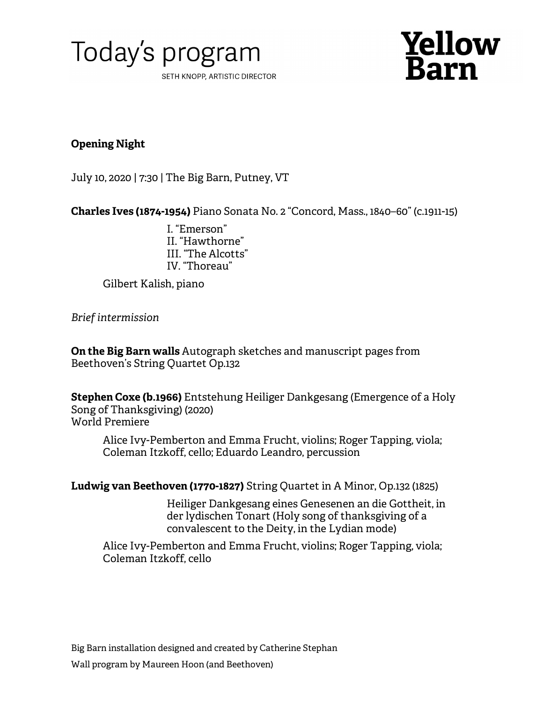



## **Opening Night**

July 10, 2020 | 7:30 | The Big Barn, Putney, VT

**Charles Ives (1874-1954)** Piano Sonata No. 2 "Concord, Mass., 1840–60" (c.1911-15)

I. "Emerson" II. "Hawthorne" III. "The Alcotts" IV. "Thoreau"

Gilbert Kalish, piano

*Brief intermission*

**On the Big Barn walls** Autograph sketches and manuscript pages from Beethoven's String Quartet Op.132

**Stephen Coxe (b.1966)** Entstehung Heiliger Dankgesang (Emergence of a Holy Song of Thanksgiving) (2020) World Premiere

Alice Ivy-Pemberton and Emma Frucht, violins; Roger Tapping, viola; Coleman Itzkoff, cello; Eduardo Leandro, percussion

**Ludwig van Beethoven (1770-1827)** String Quartet in A Minor, Op.132 (1825)

Heiliger Dankgesang eines Genesenen an die Gottheit, in der lydischen Tonart (Holy song of thanksgiving of a convalescent to the Deity, in the Lydian mode)

Alice Ivy-Pemberton and Emma Frucht, violins; Roger Tapping, viola; Coleman Itzkoff, cello

Big Barn installation designed and created by Catherine Stephan Wall program by Maureen Hoon (and Beethoven)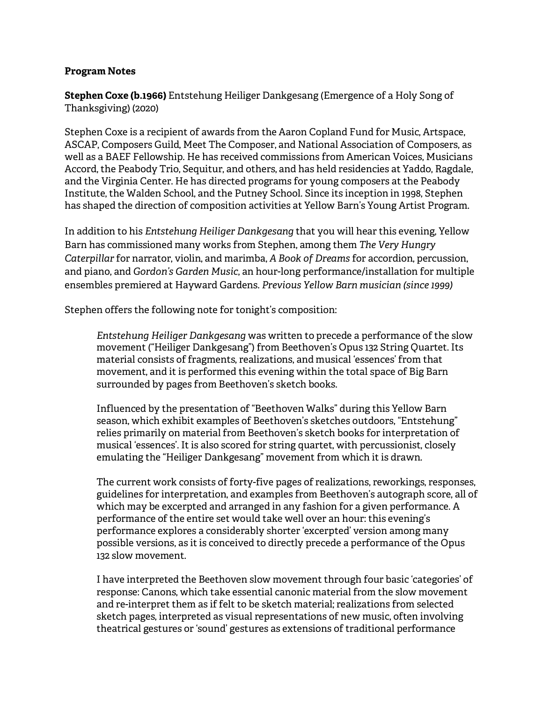## **Program Notes**

**Stephen Coxe (b.1966)** Entstehung Heiliger Dankgesang (Emergence of a Holy Song of Thanksgiving) (2020)

Stephen Coxe is a recipient of awards from the Aaron Copland Fund for Music, Artspace, ASCAP, Composers Guild, Meet The Composer, and National Association of Composers, as well as a BAEF Fellowship. He has received commissions from American Voices, Musicians Accord, the Peabody Trio, Sequitur, and others, and has held residencies at Yaddo, Ragdale, and the Virginia Center. He has directed programs for young composers at the Peabody Institute, the Walden School, and the Putney School. Since its inception in 1998, Stephen has shaped the direction of composition activities at Yellow Barn's Young Artist Program.

In addition to his *Entstehung Heiliger Dankgesang* that you will hear this evening, Yellow Barn has commissioned many works from Stephen, among them *The Very Hungry Caterpillar* for narrator, violin, and marimba, *A Book of Dreams* for accordion, percussion, and piano, and *Gordon's Garden Music*, an hour-long performance/installation for multiple ensembles premiered at Hayward Gardens. *Previous Yellow Barn musician (since 1999)*

Stephen offers the following note for tonight's composition:

*Entstehung Heiliger Dankgesang* was written to precede a performance of the slow movement ("Heiliger Dankgesang") from Beethoven's Opus 132 String Quartet. Its material consists of fragments, realizations, and musical 'essences' from that movement, and it is performed this evening within the total space of Big Barn surrounded by pages from Beethoven's sketch books.

Influenced by the presentation of "Beethoven Walks" during this Yellow Barn season, which exhibit examples of Beethoven's sketches outdoors, "Entstehung" relies primarily on material from Beethoven's sketch books for interpretation of musical 'essences'. It is also scored for string quartet, with percussionist, closely emulating the "Heiliger Dankgesang" movement from which it is drawn.

The current work consists of forty-five pages of realizations, reworkings, responses, guidelines for interpretation, and examples from Beethoven's autograph score, all of which may be excerpted and arranged in any fashion for a given performance. A performance of the entire set would take well over an hour: this evening's performance explores a considerably shorter 'excerpted' version among many possible versions, as it is conceived to directly precede a performance of the Opus 132 slow movement.

I have interpreted the Beethoven slow movement through four basic 'categories' of response: Canons, which take essential canonic material from the slow movement and re-interpret them as if felt to be sketch material; realizations from selected sketch pages, interpreted as visual representations of new music, often involving theatrical gestures or 'sound' gestures as extensions of traditional performance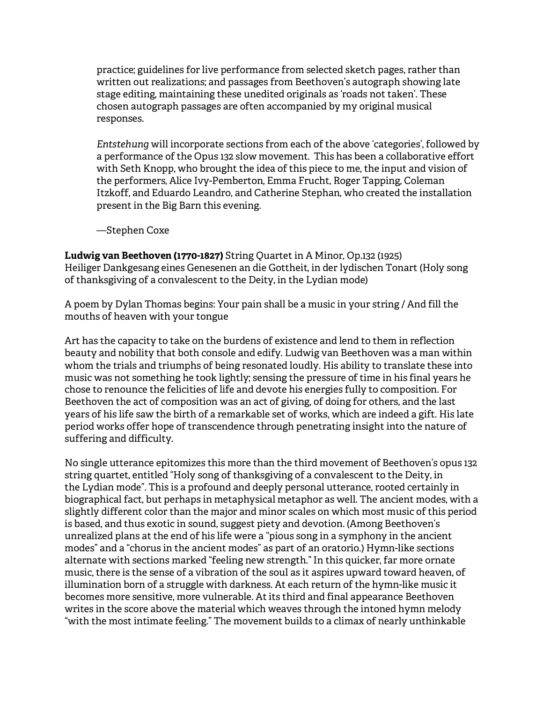practice; guidelines for live performance from selected sketch pages, rather than written out realizations; and passages from Beethoven's autograph showing late stage editing, maintaining these unedited originals as 'roads not taken'. These chosen autograph passages are often accompanied by my original musical responses.

*Entstehung* will incorporate sections from each of the above 'categories', followed by a performance of the Opus 132 slow movement. This has been a collaborative effort with Seth Knopp, who brought the idea of this piece to me, the input and vision of the performers, Alice Ivy-Pemberton, Emma Frucht, Roger Tapping, Coleman Itzkoff, and Eduardo Leandro, and Catherine Stephan, who created the installation present in the Big Barn this evening.

—Stephen Coxe

**Ludwig van Beethoven (1770-1827)** String Quartet in A Minor, Op.132 (1925) Heiliger Dankgesang eines Genesenen an die Gottheit, in der lydischen Tonart (Holy song of thanksgiving of a convalescent to the Deity, in the Lydian mode)

A poem by Dylan Thomas begins: Your pain shall be a music in your string / And fill the mouths of heaven with your tongue

Art has the capacity to take on the burdens of existence and lend to them in reflection beauty and nobility that both console and edify. Ludwig van Beethoven was a man within whom the trials and triumphs of being resonated loudly. His ability to translate these into music was not something he took lightly; sensing the pressure of time in his final years he chose to renounce the felicities of life and devote his energies fully to composition. For Beethoven the act of composition was an act of giving, of doing for others, and the last years of his life saw the birth of a remarkable set of works, which are indeed a gift. His late period works offer hope of transcendence through penetrating insight into the nature of suffering and difficulty.

No single utterance epitomizes this more than the third movement of Beethoven's opus 132 string quartet, entitled "Holy song of thanksgiving of a convalescent to the Deity, in the Lydian mode". This is a profound and deeply personal utterance, rooted certainly in biographical fact, but perhaps in metaphysical metaphor as well. The ancient modes, with a slightly different color than the major and minor scales on which most music of this period is based, and thus exotic in sound, suggest piety and devotion. (Among Beethoven's unrealized plans at the end of his life were a "pious song in a symphony in the ancient modes" and a "chorus in the ancient modes" as part of an oratorio.) Hymn-like sections alternate with sections marked "feeling new strength." In this quicker, far more ornate music, there is the sense of a vibration of the soul as it aspires upward toward heaven, of illumination born of a struggle with darkness. At each return of the hymn-like music it becomes more sensitive, more vulnerable. At its third and final appearance Beethoven writes in the score above the material which weaves through the intoned hymn melody "with the most intimate feeling." The movement builds to a climax of nearly unthinkable